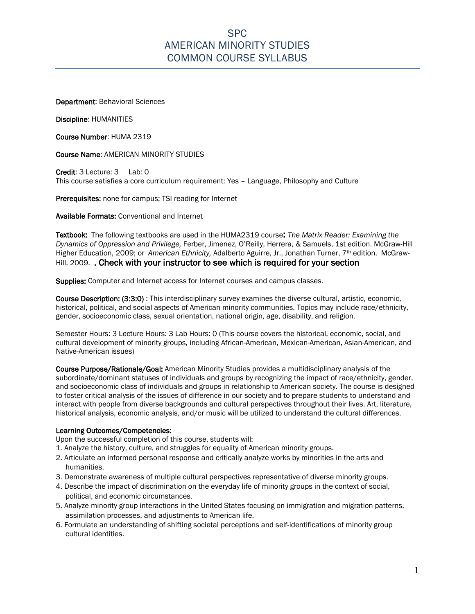# SPC AMERICAN MINORITY STUDIES COMMON COURSE SYLLABUS

Department: Behavioral Sciences

Discipline: HUMANITIES

Course Number: HUMA 2319

Course Name: AMERICAN MINORITY STUDIES

Credit: 3 Lecture: 3 Lab: 0 This course satisfies a core curriculum requirement: Yes – Language, Philosophy and Culture

Prerequisites: none for campus; TSI reading for Internet

Available Formats: Conventional and Internet

Textbook: The following textbooks are used in the HUMA2319 course: *The Matrix Reader: Examining the Dynamics of Oppression and Privilege,* Ferber, Jimenez, O'Reilly, Herrera, & Samuels, 1st edition. McGraw-Hill Higher Education, 2009; or *American Ethnicity,* Adalberto Aguirre, Jr., Jonathan Turner, 7th edition. McGraw-Hill, 2009. . Check with your instructor to see which is required for your section

Supplies: Computer and Internet access for Internet courses and campus classes.

Course Description: (3:3:0) : This interdisciplinary survey examines the diverse cultural, artistic, economic, historical, political, and social aspects of American minority communities. Topics may include race/ethnicity, gender, socioeconomic class, sexual orientation, national origin, age, disability, and religion.

Semester Hours: 3 Lecture Hours: 3 Lab Hours: 0 (This course covers the historical, economic, social, and cultural development of minority groups, including African-American, Mexican-American, Asian-American, and Native-American issues)

Course Purpose/Rationale/Goal: American Minority Studies provides a multidisciplinary analysis of the subordinate/dominant statuses of individuals and groups by recognizing the impact of race/ethnicity, gender, and socioeconomic class of individuals and groups in relationship to American society. The course is designed to foster critical analysis of the issues of difference in our society and to prepare students to understand and interact with people from diverse backgrounds and cultural perspectives throughout their lives. Art, literature, historical analysis, economic analysis, and/or music will be utilized to understand the cultural differences.

### Learning Outcomes/Competencies:

Upon the successful completion of this course, students will:

- 1. Analyze the history, culture, and struggles for equality of American minority groups.
- 2. Articulate an informed personal response and critically analyze works by minorities in the arts and humanities.
- 3. Demonstrate awareness of multiple cultural perspectives representative of diverse minority groups.
- 4. Describe the impact of discrimination on the everyday life of minority groups in the context of social, political, and economic circumstances.
- 5. Analyze minority group interactions in the United States focusing on immigration and migration patterns, assimilation processes, and adjustments to American life.
- 6. Formulate an understanding of shifting societal perceptions and self-identifications of minority group cultural identities.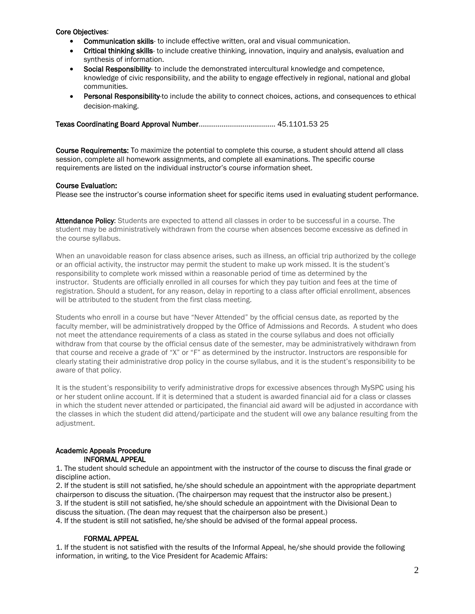### Core Objectives:

- Communication skills- to include effective written, oral and visual communication.
- Critical thinking skills- to include creative thinking, innovation, inquiry and analysis, evaluation and synthesis of information.
- Social Responsibility- to include the demonstrated intercultural knowledge and competence, knowledge of civic responsibility, and the ability to engage effectively in regional, national and global communities.
- Personal Responsibility-to include the ability to connect choices, actions, and consequences to ethical decision-making.

Texas Coordinating Board Approval Number……………………………….… 45.1101.53 25

Course Requirements: To maximize the potential to complete this course, a student should attend all class session, complete all homework assignments, and complete all examinations. The specific course requirements are listed on the individual instructor's course information sheet.

### Course Evaluation:

Please see the instructor's course information sheet for specific items used in evaluating student performance.

Attendance Policy: Students are expected to attend all classes in order to be successful in a course. The student may be administratively withdrawn from the course when absences become excessive as defined in the course syllabus.

When an unavoidable reason for class absence arises, such as illness, an official trip authorized by the college or an official activity, the instructor may permit the student to make up work missed. It is the student's responsibility to complete work missed within a reasonable period of time as determined by the instructor. Students are officially enrolled in all courses for which they pay tuition and fees at the time of registration. Should a student, for any reason, delay in reporting to a class after official enrollment, absences will be attributed to the student from the first class meeting.

Students who enroll in a course but have "Never Attended" by the official census date, as reported by the faculty member, will be administratively dropped by the Office of Admissions and Records. A student who does not meet the attendance requirements of a class as stated in the course syllabus and does not officially withdraw from that course by the official census date of the semester, may be administratively withdrawn from that course and receive a grade of "X" or "F" as determined by the instructor. Instructors are responsible for clearly stating their administrative drop policy in the course syllabus, and it is the student's responsibility to be aware of that policy.

It is the student's responsibility to verify administrative drops for excessive absences through MySPC using his or her student online account. If it is determined that a student is awarded financial aid for a class or classes in which the student never attended or participated, the financial aid award will be adjusted in accordance with the classes in which the student did attend/participate and the student will owe any balance resulting from the adjustment.

#### Academic Appeals Procedure INFORMAL APPEAL

1. The student should schedule an appointment with the instructor of the course to discuss the final grade or discipline action.

2. If the student is still not satisfied, he/she should schedule an appointment with the appropriate department chairperson to discuss the situation. (The chairperson may request that the instructor also be present.) 3. If the student is still not satisfied, he/she should schedule an appointment with the Divisional Dean to discuss the situation. (The dean may request that the chairperson also be present.)

4. If the student is still not satisfied, he/she should be advised of the formal appeal process.

### FORMAL APPEAL

1. If the student is not satisfied with the results of the Informal Appeal, he/she should provide the following information, in writing, to the Vice President for Academic Affairs: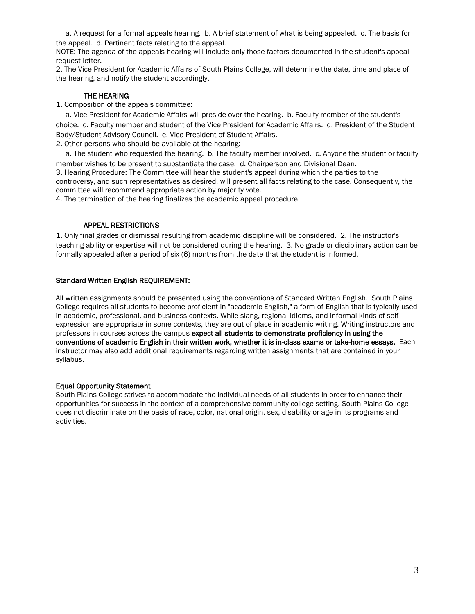a. A request for a formal appeals hearing. b. A brief statement of what is being appealed. c. The basis for the appeal. d. Pertinent facts relating to the appeal.

NOTE: The agenda of the appeals hearing will include only those factors documented in the student's appeal request letter.

2. The Vice President for Academic Affairs of South Plains College, will determine the date, time and place of the hearing, and notify the student accordingly.

### THE HEARING

1. Composition of the appeals committee:

 a. Vice President for Academic Affairs will preside over the hearing. b. Faculty member of the student's choice. c. Faculty member and student of the Vice President for Academic Affairs. d. President of the Student Body/Student Advisory Council. e. Vice President of Student Affairs.

2. Other persons who should be available at the hearing:

 a. The student who requested the hearing. b. The faculty member involved. c. Anyone the student or faculty member wishes to be present to substantiate the case. d. Chairperson and Divisional Dean. 3. Hearing Procedure: The Committee will hear the student's appeal during which the parties to the controversy, and such representatives as desired, will present all facts relating to the case. Consequently, the committee will recommend appropriate action by majority vote.

4. The termination of the hearing finalizes the academic appeal procedure.

### APPEAL RESTRICTIONS

1. Only final grades or dismissal resulting from academic discipline will be considered. 2. The instructor's teaching ability or expertise will not be considered during the hearing. 3. No grade or disciplinary action can be formally appealed after a period of six (6) months from the date that the student is informed.

### Standard Written English REQUIREMENT:

All written assignments should be presented using the conventions of Standard Written English. South Plains College requires all students to become proficient in "academic English," a form of English that is typically used in academic, professional, and business contexts. While slang, regional idioms, and informal kinds of selfexpression are appropriate in some contexts, they are out of place in academic writing. Writing instructors and professors in courses across the campus expect all students to demonstrate proficiency in using the conventions of academic English in their written work, whether it is in-class exams or take-home essays. Each instructor may also add additional requirements regarding written assignments that are contained in your syllabus.

### Equal Opportunity Statement

South Plains College strives to accommodate the individual needs of all students in order to enhance their opportunities for success in the context of a comprehensive community college setting. South Plains College does not discriminate on the basis of race, color, national origin, sex, disability or age in its programs and activities.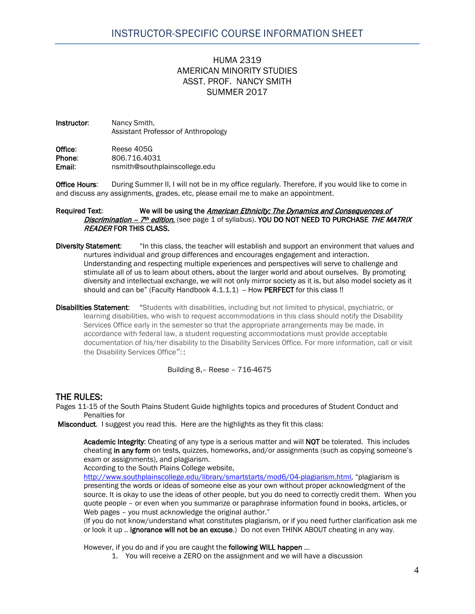# HUMA 2319 AMERICAN MINORITY STUDIES ASST. PROF. NANCY SMITH SUMMER 2017

Instructor: Nancy Smith, Assistant Professor of Anthropology

Office: Reese 405G<br>
Phone: 806.716.403 **Phone:** 806.716.4031<br> **Email:** ensmith@southn nsmith@southplainscollege.edu

**Office Hours:** During Summer II, I will not be in my office regularly. Therefore, if you would like to come in and discuss any assignments, grades, etc, please email me to make an appointment.

#### Required Text: We will be using the American Ethnicity: The Dynamics and Consequences of *Discrimination –*  $7<sup>th</sup>$  *edition*. (see page 1 of syllabus). YOU DO NOT NEED TO PURCHASE THE MATRIX READER FOR THIS CLASS.

Diversity Statement: "In this class, the teacher will establish and support an environment that values and nurtures individual and group differences and encourages engagement and interaction. Understanding and respecting multiple experiences and perspectives will serve to challenge and stimulate all of us to learn about others, about the larger world and about ourselves. By promoting diversity and intellectual exchange, we will not only mirror society as it is, but also model society as it should and can be" (Faculty Handbook 4.1.1.1) - How PERFECT for this class !!

Disabilities Statement: "Students with disabilities, including but not limited to physical, psychiatric, or learning disabilities, who wish to request accommodations in this class should notify the Disability Services Office early in the semester so that the appropriate arrangements may be made. In accordance with federal law, a student requesting accommodations must provide acceptable documentation of his/her disability to the Disability Services Office. For more information, call or visit the Disability Services Office"::

Building 8,– Reese – 716-4675

## THE RULES:

Pages 11-15 of the South Plains Student Guide highlights topics and procedures of Student Conduct and Penalties for

Misconduct. I suggest you read this. Here are the highlights as they fit this class:

Academic Integrity: Cheating of any type is a serious matter and will NOT be tolerated. This includes cheating in any form on tests, quizzes, homeworks, and/or assignments (such as copying someone's exam or assignments), and plagiarism.

According to the South Plains College website,

[http://www.southplainscollege.edu/library/smartstarts/mod6/04-plagiarism.html,](http://www.southplainscollege.edu/library/smartstarts/mod6/04-plagiarism.html) "plagiarism is presenting the words or ideas of someone else as your own without proper acknowledgment of the source. It is okay to use the ideas of other people, but you do need to correctly credit them. When you quote people – or even when you summarize or paraphrase information found in books, articles, or Web pages - you must acknowledge the original author."

(If you do not know/understand what constitutes plagiarism, or if you need further clarification ask me or look it up .. ignorance will not be an excuse.) Do not even THINK ABOUT cheating in any way.

However, if you do and if you are caught the following WILL happen ...

1. You will receive a ZERO on the assignment and we will have a discussion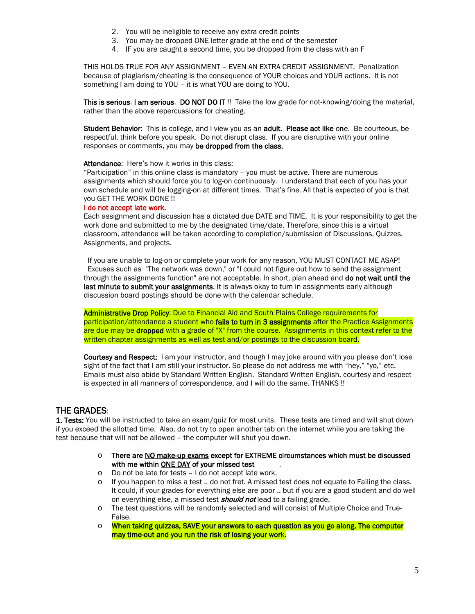- 2. You will be ineligible to receive any extra credit points
- 3. You may be dropped ONE letter grade at the end of the semester
- 4. IF you are caught a second time, you be dropped from the class with an F

THIS HOLDS TRUE FOR ANY ASSIGNMENT – EVEN AN EXTRA CREDIT ASSIGNMENT. Penalization because of plagiarism/cheating is the consequence of YOUR choices and YOUR actions. It is not something I am doing to YOU – it is what YOU are doing to YOU.

This is serious. I am serious. DO NOT DO IT !! Take the low grade for not-knowing/doing the material, rather than the above repercussions for cheating.

Student Behavior: This is college, and I view you as an adult. Please act like one. Be courteous, be respectful, think before you speak. Do not disrupt class. If you are disruptive with your online responses or comments, you may be dropped from the class.

Attendance: Here's how it works in this class:

"Participation" in this online class is mandatory – you must be active. There are numerous assignments which should force you to log-on continuously. I understand that each of you has your own schedule and will be logging-on at different times. That's fine. All that is expected of you is that you GET THE WORK DONE !!

#### I do not accept late work.

Each assignment and discussion has a dictated due DATE and TIME. It is your responsibility to get the work done and submitted to me by the designated time/date. Therefore, since this is a virtual classroom, attendance will be taken according to completion/submission of Discussions, Quizzes, Assignments, and projects.

 If you are unable to log-on or complete your work for any reason, YOU MUST CONTACT ME ASAP! Excuses such as "The network was down," or "I could not figure out how to send the assignment through the assignments function" are not acceptable. In short, plan ahead and do not wait until the last minute to submit your assignments. It is always okay to turn in assignments early although discussion board postings should be done with the calendar schedule.

Administrative Drop Policy: Due to Financial Aid and South Plains College requirements for participation/attendance a student who fails to turn in 3 assignments after the Practice Assignments are due may be dropped with a grade of "X" from the course. Assignments in this context refer to the written chapter assignments as well as test and/or postings to the discussion board.

Courtesy and Respect: I am your instructor, and though I may joke around with you please don't lose sight of the fact that I am still your instructor. So please do not address me with "hey," "yo," etc. Emails must also abide by Standard Written English. Standard Written English, courtesy and respect is expected in all manners of correspondence, and I will do the same. THANKS !!

### THE GRADES:

1. Tests: You will be instructed to take an exam/quiz for most units. These tests are timed and will shut down if you exceed the allotted time. Also, do not try to open another tab on the internet while you are taking the test because that will not be allowed – the computer will shut you down.

- $\circ$  There are NO make-up exams except for EXTREME circumstances which must be discussed with me within ONE DAY of your missed test
- o Do not be late for tests I do not accept late work.
- If you happen to miss a test .. do not fret. A missed test does not equate to Failing the class. It could, if your grades for everything else are poor .. but if you are a good student and do well on everything else, a missed test **should not** lead to a failing grade.
- o The test questions will be randomly selected and will consist of Multiple Choice and True-False.
- $\circ$  When taking quizzes, SAVE your answers to each question as you go along. The computer may time-out and you run the risk of losing your work.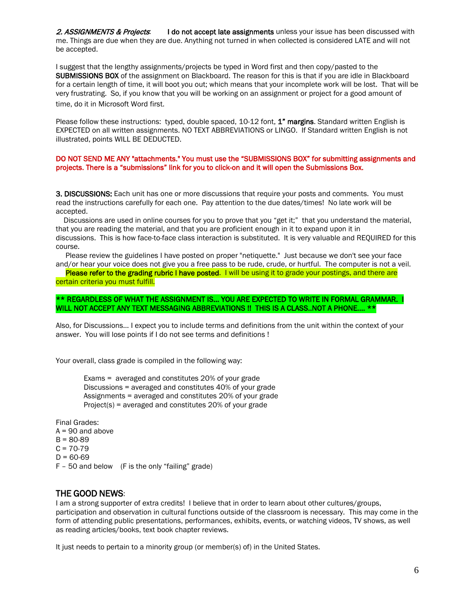2. ASSIGNMENTS & Projects: I do not accept late assignments unless your issue has been discussed with me. Things are due when they are due. Anything not turned in when collected is considered LATE and will not be accepted.

I suggest that the lengthy assignments/projects be typed in Word first and then copy/pasted to the SUBMISSIONS BOX of the assignment on Blackboard. The reason for this is that if you are idle in Blackboard for a certain length of time, it will boot you out; which means that your incomplete work will be lost. That will be very frustrating. So, if you know that you will be working on an assignment or project for a good amount of time, do it in Microsoft Word first.

Please follow these instructions: typed, double spaced, 10-12 font, 1" margins. Standard written English is EXPECTED on all written assignments. NO TEXT ABBREVIATIONS or LINGO. If Standard written English is not illustrated, points WILL BE DEDUCTED.

#### DO NOT SEND ME ANY "attachments." You must use the "SUBMISSIONS BOX" for submitting assignments and projects. There is a "submissions" link for you to click-on and it will open the Submissions Box.

**3. DISCUSSIONS:** Each unit has one or more discussions that require your posts and comments. You must read the instructions carefully for each one. Pay attention to the due dates/times! No late work will be accepted.

 Discussions are used in online courses for you to prove that you "get it;" that you understand the material, that you are reading the material, and that you are proficient enough in it to expand upon it in discussions. This is how face-to-face class interaction is substituted. It is very valuable and REQUIRED for this course.

 Please review the guidelines I have posted on proper "netiquette." Just because we don't see your face and/or hear your voice does not give you a free pass to be rude, crude, or hurtful. The computer is not a veil.

Please refer to the grading rubric I have posted. I will be using it to grade your postings, and there are certain criteria you must fulfill.

### \*\* REGARDLESS OF WHAT THE ASSIGNMENT IS... YOU ARE EXPECTED TO WRITE IN FORMAL GRAMMAR. I WILL NOT ACCEPT ANY TEXT MESSAGING ABBREVIATIONS !! THIS IS A CLASS..NOT A PHONE.... \*\*

Also, for Discussions... I expect you to include terms and definitions from the unit within the context of your answer. You will lose points if I do not see terms and definitions !

Your overall, class grade is compiled in the following way:

Exams = averaged and constitutes 20% of your grade Discussions = averaged and constitutes 40% of your grade Assignments = averaged and constitutes 20% of your grade Project(s) = averaged and constitutes 20% of your grade

Final Grades:  $A = 90$  and above  $B = 80-89$  $C = 70-79$  $D = 60-69$ F – 50 and below (F is the only "failing" grade)

### THE GOOD NEWS:

I am a strong supporter of extra credits! I believe that in order to learn about other cultures/groups, participation and observation in cultural functions outside of the classroom is necessary. This may come in the form of attending public presentations, performances, exhibits, events, or watching videos, TV shows, as well as reading articles/books, text book chapter reviews.

It just needs to pertain to a minority group (or member(s) of) in the United States.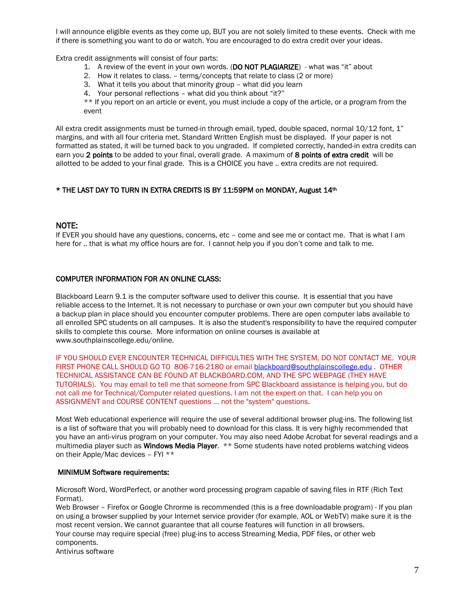I will announce eligible events as they come up, BUT you are not solely limited to these events. Check with me if there is something you want to do or watch. You are encouraged to do extra credit over your ideas.

Extra credit assignments will consist of four parts:

- 1. A review of the event in your own words. (DO NOT PLAGIARIZE) what was "it" about
- 2. How it relates to class. terms/concepts that relate to class (2 or more)
- 3. What it tells you about that minority group what did you learn
- 4. Your personal reflections what did you think about "it?"

\*\* If you report on an article or event, you must include a copy of the article, or a program from the event

All extra credit assignments must be turned-in through email, typed, double spaced, normal  $10/12$  font,  $1$ " margins, and with all four criteria met. Standard Written English must be displayed. If your paper is not formatted as stated, it will be turned back to you ungraded. If completed correctly, handed-in extra credits can earn you 2 points to be added to your final, overall grade. A maximum of 8 points of extra credit will be allotted to be added to your final grade. This is a CHOICE you have .. extra credits are not required.

### \* THE LAST DAY TO TURN IN EXTRA CREDITS IS BY 11:59PM on MONDAY, August 14th

### NOTE:

If EVER you should have any questions, concerns, etc – come and see me or contact me. That is what I am here for .. that is what my office hours are for. I cannot help you if you don't come and talk to me.

### COMPUTER INFORMATION FOR AN ONLINE CLASS:

Blackboard Learn 9.1 is the computer software used to deliver this course. It is essential that you have reliable access to the Internet. It is not necessary to purchase or own your own computer but you should have a backup plan in place should you encounter computer problems. There are open computer labs available to all enrolled SPC students on all campuses. It is also the student's responsibility to have the required computer skills to complete this course. More information on online courses is available at www.southplainscollege.edu/online.

IF YOU SHOULD EVER ENCOUNTER TECHNICAL DIFFICULTIES WITH THE SYSTEM, DO NOT CONTACT ME. YOUR FIRST PHONE CALL SHOULD GO TO 806-716-2180 or emai[l blackboard@southplainscollege.edu](mailto:blackboard@southplainscollege.edu) . OTHER TECHNICAL ASSISTANCE CAN BE FOUND AT BLACKBOARD.COM, AND THE SPC WEBPAGE (THEY HAVE TUTORIALS). You may email to tell me that someone from SPC Blackboard assistance is helping you, but do not call me for Technical/Computer related questions. I am not the expert on that. I can help you on ASSIGNMENT and COURSE CONTENT questions ... not the "system" questions.

Most Web educational experience will require the use of several additional browser plug-ins. The following list is a list of software that you will probably need to download for this class. It is very highly recommended that you have an anti-virus program on your computer. You may also need Adobe Acrobat for several readings and a multimedia player such as Windows Media Player. \*\* Some students have noted problems watching videos on their Apple/Mac devices – FYI \*\*

#### MINIMUM Software requirements:

Microsoft Word, WordPerfect, or another word processing program capable of saving files in RTF (Rich Text Format).

Web Browser – Firefox or Google Chrorme is recommended (this is a free downloadable program) - If you plan on using a browser supplied by your Internet service provider (for example, AOL or WebTV) make sure it is the most recent version. We cannot guarantee that all course features will function in all browsers. Your course may require special (free) plug-ins to access Streaming Media, PDF files, or other web components.

Antivirus software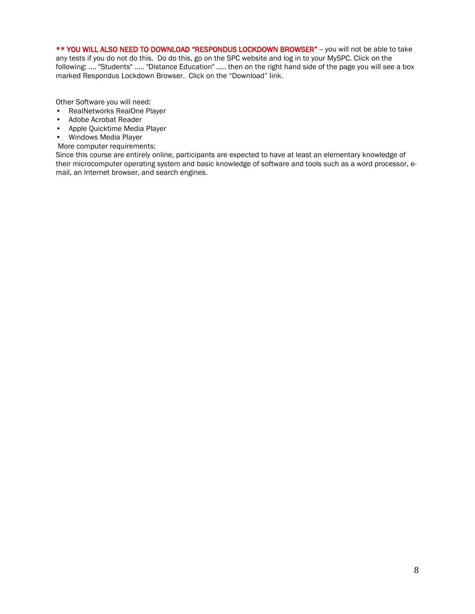\*\* YOU WILL ALSO NEED TO DOWNLOAD "RESPONDUS LOCKDOWN BROWSER" -- you will not be able to take any tests if you do not do this. Do do this, go on the SPC website and log in to your MySPC. Click on the following: .... "Students" ..... "Distance Education" ..... then on the right hand side of the page you will see a box marked Respondus Lockdown Browser. Click on the "Download" link.

Other Software you will need:

- RealNetworks RealOne Player
- Adobe Acrobat Reader
- Apple Quicktime Media Player
- Windows Media Player
- More computer requirements:

Since this course are entirely online, participants are expected to have at least an elementary knowledge of their microcomputer operating system and basic knowledge of software and tools such as a word processor, email, an Internet browser, and search engines.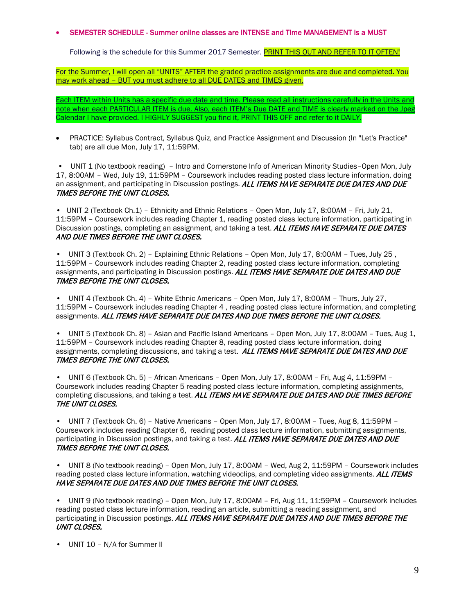### • SEMESTER SCHEDULE - Summer online classes are INTENSE and Time MANAGEMENT is a MUST

Following is the schedule for this Summer 2017 Semester. PRINT THIS OUT AND REFER TO IT OFTEN!

For the Summer, I will open all "UNITS" AFTER the graded practice assignments are due and completed. You may work ahead – BUT you must adhere to all DUE DATES and TIMES given.

Each ITEM within Units has a specific due date and time. Please read all instructions carefully in the Units and note when each PARTICULAR ITEM is due. Also, each ITEM's Due DATE and TIME is clearly marked on the Jpeg Calendar I have provided. I HIGHLY SUGGEST you find it, PRINT THIS OFF and refer to it DAILY.

• PRACTICE: Syllabus Contract, Syllabus Quiz, and Practice Assignment and Discussion (In "Let's Practice" tab) are all due Mon, July 17, 11:59PM.

• UNIT 1 (No textbook reading) - Intro and Cornerstone Info of American Minority Studies-Open Mon, July 17, 8:00AM – Wed, July 19, 11:59PM – Coursework includes reading posted class lecture information, doing an assignment, and participating in Discussion postings. ALL ITEMS HAVE SEPARATE DUE DATES AND DUE TIMES BEFORE THE UNIT CLOSES.

• UNIT 2 (Textbook Ch.1) – Ethnicity and Ethnic Relations – Open Mon, July 17, 8:00AM – Fri, July 21, 11:59PM – Coursework includes reading Chapter 1, reading posted class lecture information, participating in Discussion postings, completing an assignment, and taking a test. ALL ITEMS HAVE SEPARATE DUE DATES AND DUE TIMES BEFORE THE UNIT CLOSES.

• UNIT 3 (Textbook Ch. 2) – Explaining Ethnic Relations – Open Mon, July 17, 8:00AM – Tues, July 25 , 11:59PM – Coursework includes reading Chapter 2, reading posted class lecture information, completing assignments, and participating in Discussion postings. ALL ITEMS HAVE SEPARATE DUE DATES AND DUE TIMES BEFORE THE UNIT CLOSES.

• UNIT 4 (Textbook Ch. 4) – White Ethnic Americans – Open Mon, July 17, 8:00AM – Thurs, July 27, 11:59PM – Coursework includes reading Chapter 4 , reading posted class lecture information, and completing assignments. ALL ITEMS HAVE SEPARATE DUE DATES AND DUE TIMES BEFORE THE UNIT CLOSES.

• UNIT 5 (Textbook Ch. 8) – Asian and Pacific Island Americans – Open Mon, July 17, 8:00AM – Tues, Aug 1, 11:59PM – Coursework includes reading Chapter 8, reading posted class lecture information, doing assignments, completing discussions, and taking a test. ALL ITEMS HAVE SEPARATE DUE DATES AND DUE TIMES BEFORE THE UNIT CLOSES.

• UNIT 6 (Textbook Ch. 5) – African Americans – Open Mon, July 17, 8:00AM – Fri, Aug 4, 11:59PM – Coursework includes reading Chapter 5 reading posted class lecture information, completing assignments, completing discussions, and taking a test. ALL ITEMS HAVE SEPARATE DUE DATES AND DUE TIMES BEFORE THE UNIT CLOSES.

• UNIT 7 (Textbook Ch. 6) – Native Americans – Open Mon, July 17, 8:00AM – Tues, Aug 8, 11:59PM – Coursework includes reading Chapter 6, reading posted class lecture information, submitting assignments, participating in Discussion postings, and taking a test. ALL ITEMS HAVE SEPARATE DUE DATES AND DUE TIMES BEFORE THE UNIT CLOSES.

• UNIT 8 (No textbook reading) – Open Mon, July 17, 8:00AM – Wed, Aug 2, 11:59PM – Coursework includes reading posted class lecture information, watching videoclips, and completing video assignments. ALL ITEMS HAVE SEPARATE DUE DATES AND DUE TIMES BEFORE THE UNIT CLOSES.

• UNIT 9 (No textbook reading) – Open Mon, July 17, 8:00AM – Fri, Aug 11, 11:59PM – Coursework includes reading posted class lecture information, reading an article, submitting a reading assignment, and participating in Discussion postings. ALL ITEMS HAVE SEPARATE DUE DATES AND DUE TIMES BEFORE THE UNIT CLOSES.

• UNIT 10 – N/A for Summer II